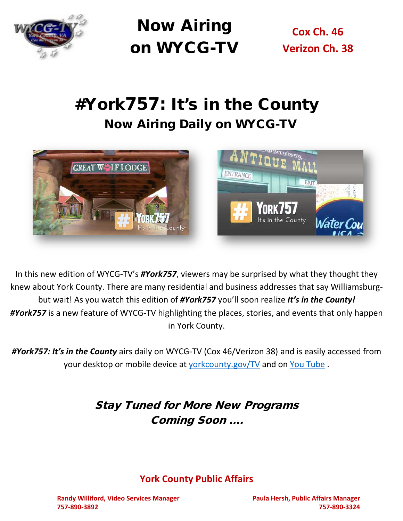

Now Airing on WYCG-TV

**Cox Ch. 46 Verizon Ch. 38**

# #York757: It's in the County Now Airing Daily on WYCG-TV



In this new edition of WYCG-TV's *#York757*, viewers may be surprised by what they thought they knew about York County. There are many residential and business addresses that say Williamsburgbut wait! As you watch this edition of *#York757* you'll soon realize *It's in the County! #York757* is a new feature of WYCG-TV highlighting the places, stories, and events that only happen in York County.

*#York757: It's in the County* airs daily on WYCG-TV (Cox 46/Verizon 38) and is easily accessed from your desktop or mobile device at [yorkcounty.gov/TV](http://www.yorkcounty.gov/365/Local-Programs) and on [You Tube](https://www.youtube.com/watch?v=QyffEUse2BA&t=2s) .

### Stay Tuned for More New Programs Coming Soon ….

#### **York County Public Affairs**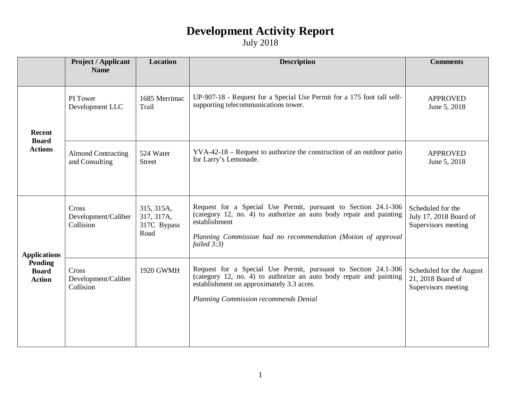|                                                                        | <b>Project / Applicant</b><br><b>Name</b>   | <b>Location</b>                                 | <b>Description</b>                                                                                                                                                                                                                       | <b>Comments</b>                                                      |
|------------------------------------------------------------------------|---------------------------------------------|-------------------------------------------------|------------------------------------------------------------------------------------------------------------------------------------------------------------------------------------------------------------------------------------------|----------------------------------------------------------------------|
| Recent<br><b>Board</b><br><b>Actions</b>                               | PI Tower<br>Development LLC                 | 1685 Merrimac<br>Trail                          | UP-907-18 - Request for a Special Use Permit for a 175 foot tall self-<br>supporting telecommunications tower.                                                                                                                           | <b>APPROVED</b><br>June 5, 2018                                      |
|                                                                        | <b>Almond Contracting</b><br>and Consulting | 524 Water<br>Street                             | $YVA-42-18$ – Request to authorize the construction of an outdoor patio<br>for Larry's Lemonade.                                                                                                                                         | <b>APPROVED</b><br>June 5, 2018                                      |
| <b>Applications</b><br><b>Pending</b><br><b>Board</b><br><b>Action</b> | Cross<br>Development/Caliber<br>Collision   | 315, 315A,<br>317, 317A,<br>317C Bypass<br>Road | Request for a Special Use Permit, pursuant to Section 24.1-306<br>(category 12, no. 4) to authorize an auto body repair and painting<br>establishment<br>Planning Commission had no recommendation (Motion of approval<br>failed $3:3$ ) | Scheduled for the<br>July 17, 2018 Board of<br>Supervisors meeting   |
|                                                                        | Cross<br>Development/Caliber<br>Collision   | 1920 GWMH                                       | Request for a Special Use Permit, pursuant to Section 24.1-306<br>(category 12, no. 4) to authorize an auto body repair and painting<br>establishment on approximately 3.3 acres.<br>Planning Commission recommends Denial               | Scheduled for the August<br>21, 2018 Board of<br>Supervisors meeting |
|                                                                        |                                             |                                                 |                                                                                                                                                                                                                                          |                                                                      |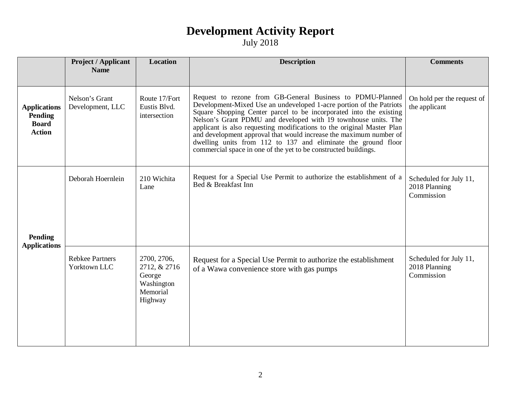|                                                                        | <b>Project / Applicant</b>             | <b>Location</b>                                                            | <b>Description</b>                                                                                                                                                                                                                                                                                                                                                                                                                                                                                                                                            | <b>Comments</b>                                       |
|------------------------------------------------------------------------|----------------------------------------|----------------------------------------------------------------------------|---------------------------------------------------------------------------------------------------------------------------------------------------------------------------------------------------------------------------------------------------------------------------------------------------------------------------------------------------------------------------------------------------------------------------------------------------------------------------------------------------------------------------------------------------------------|-------------------------------------------------------|
|                                                                        | <b>Name</b>                            |                                                                            |                                                                                                                                                                                                                                                                                                                                                                                                                                                                                                                                                               |                                                       |
| <b>Applications</b><br><b>Pending</b><br><b>Board</b><br><b>Action</b> | Nelson's Grant<br>Development, LLC     | Route 17/Fort<br>Eustis Blvd.<br>intersection                              | Request to rezone from GB-General Business to PDMU-Planned<br>Development-Mixed Use an undeveloped 1-acre portion of the Patriots<br>Square Shopping Center parcel to be incorporated into the existing<br>Nelson's Grant PDMU and developed with 19 townhouse units. The<br>applicant is also requesting modifications to the original Master Plan<br>and development approval that would increase the maximum number of<br>dwelling units from 112 to 137 and eliminate the ground floor<br>commercial space in one of the yet to be constructed buildings. | On hold per the request of<br>the applicant           |
| <b>Pending</b>                                                         | Deborah Hoernlein                      | 210 Wichita<br>Lane                                                        | Request for a Special Use Permit to authorize the establishment of a<br>Bed & Breakfast Inn                                                                                                                                                                                                                                                                                                                                                                                                                                                                   | Scheduled for July 11,<br>2018 Planning<br>Commission |
| <b>Applications</b>                                                    | <b>Rebkee Partners</b><br>Yorktown LLC | 2700, 2706,<br>2712, & 2716<br>George<br>Washington<br>Memorial<br>Highway | Request for a Special Use Permit to authorize the establishment<br>of a Wawa convenience store with gas pumps                                                                                                                                                                                                                                                                                                                                                                                                                                                 | Scheduled for July 11,<br>2018 Planning<br>Commission |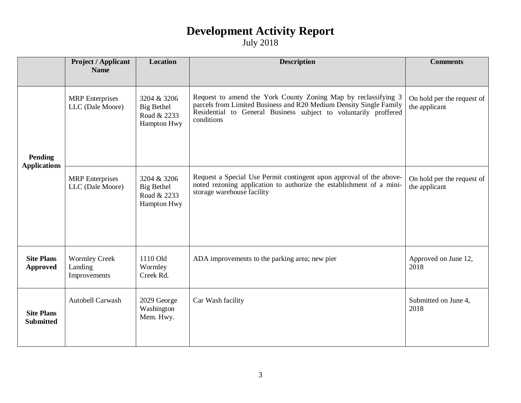|                                       | <b>Project / Applicant</b>                      | <b>Location</b>                                                | <b>Description</b>                                                                                                                                                                                                     | <b>Comments</b>                             |
|---------------------------------------|-------------------------------------------------|----------------------------------------------------------------|------------------------------------------------------------------------------------------------------------------------------------------------------------------------------------------------------------------------|---------------------------------------------|
|                                       | <b>Name</b>                                     |                                                                |                                                                                                                                                                                                                        |                                             |
| <b>Pending</b><br><b>Applications</b> | <b>MRP</b> Enterprises<br>LLC (Dale Moore)      | 3204 & 3206<br><b>Big Bethel</b><br>Road & 2233<br>Hampton Hwy | Request to amend the York County Zoning Map by reclassifying 3<br>parcels from Limited Business and R20 Medium Density Single Family<br>Residential to General Business subject to voluntarily proffered<br>conditions | On hold per the request of<br>the applicant |
|                                       | <b>MRP</b> Enterprises<br>LLC (Dale Moore)      | 3204 & 3206<br><b>Big Bethel</b><br>Road & 2233<br>Hampton Hwy | Request a Special Use Permit contingent upon approval of the above-<br>noted rezoning application to authorize the establishment of a mini-<br>storage warehouse facility                                              | On hold per the request of<br>the applicant |
| <b>Site Plans</b><br><b>Approved</b>  | <b>Wormley Creek</b><br>Landing<br>Improvements | 1110 Old<br>Wormley<br>Creek Rd.                               | ADA improvements to the parking area; new pier                                                                                                                                                                         | Approved on June 12,<br>2018                |
| <b>Site Plans</b><br><b>Submitted</b> | Autobell Carwash                                | 2029 George<br>Washington<br>Mem. Hwy.                         | Car Wash facility                                                                                                                                                                                                      | Submitted on June 4,<br>2018                |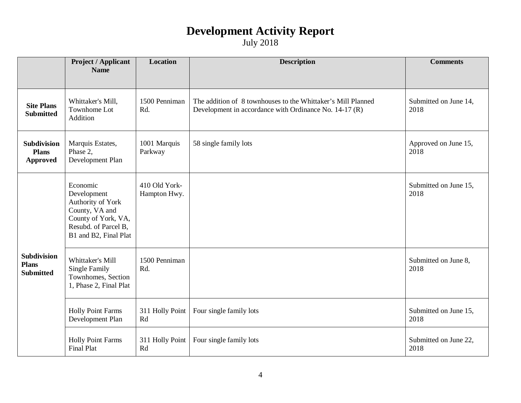July 2018

|                                                        | <b>Project / Applicant</b><br><b>Name</b>                                                                                              | <b>Location</b>               | <b>Description</b>                                                                                                     | <b>Comments</b>               |
|--------------------------------------------------------|----------------------------------------------------------------------------------------------------------------------------------------|-------------------------------|------------------------------------------------------------------------------------------------------------------------|-------------------------------|
|                                                        |                                                                                                                                        |                               |                                                                                                                        |                               |
| <b>Site Plans</b><br><b>Submitted</b>                  | Whittaker's Mill,<br>Townhome Lot<br>Addition                                                                                          | 1500 Penniman<br>Rd.          | The addition of 8 townhouses to the Whittaker's Mill Planned<br>Development in accordance with Ordinance No. 14-17 (R) | Submitted on June 14,<br>2018 |
| Subdivision<br><b>Plans</b><br><b>Approved</b>         | Marquis Estates,<br>Phase 2,<br>Development Plan                                                                                       | 1001 Marquis<br>Parkway       | 58 single family lots                                                                                                  | Approved on June 15,<br>2018  |
|                                                        | Economic<br>Development<br>Authority of York<br>County, VA and<br>County of York, VA,<br>Resubd. of Parcel B,<br>B1 and B2, Final Plat | 410 Old York-<br>Hampton Hwy. |                                                                                                                        | Submitted on June 15,<br>2018 |
| <b>Subdivision</b><br><b>Plans</b><br><b>Submitted</b> | Whittaker's Mill<br><b>Single Family</b><br>Townhomes, Section<br>1, Phase 2, Final Plat                                               | 1500 Penniman<br>Rd.          |                                                                                                                        | Submitted on June 8,<br>2018  |
|                                                        | <b>Holly Point Farms</b><br>Development Plan                                                                                           | 311 Holly Point<br>Rd         | Four single family lots                                                                                                | Submitted on June 15,<br>2018 |
|                                                        | <b>Holly Point Farms</b><br><b>Final Plat</b>                                                                                          | 311 Holly Point<br>Rd         | Four single family lots                                                                                                | Submitted on June 22,<br>2018 |